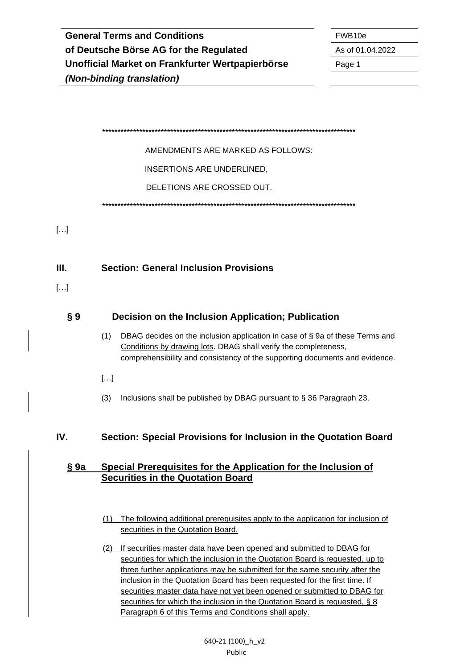\*\*\*\*\*\*\*\*\*\*\*\*\*\*\*\*\*\*\*\*\*\*\*\*\*\*\*\*\*\*\*\*\*\*\*\*\*\*\*\*\*\*\*\*\*\*\*\*\*\*\*\*\*\*\*\*\*\*\*\*\*\*\*\*\*\*\*\*\*\*\*\*\*\*\*\*\*\*\*\*\*\*

AMENDMENTS ARE MARKED AS FOLLOWS:

INSERTIONS ARE UNDERLINED,

DELETIONS ARE CROSSED OUT.

\*\*\*\*\*\*\*\*\*\*\*\*\*\*\*\*\*\*\*\*\*\*\*\*\*\*\*\*\*\*\*\*\*\*\*\*\*\*\*\*\*\*\*\*\*\*\*\*\*\*\*\*\*\*\*\*\*\*\*\*\*\*\*\*\*\*\*\*\*\*\*\*\*\*\*\*\*\*\*\*\*\*

[…]

**III. Section: General Inclusion Provisions** 

 $\left[\ldots\right]$ 

# **§ 9 Decision on the Inclusion Application; Publication**

- (1) DBAG decides on the inclusion application in case of § 9a of these Terms and Conditions by drawing lots. DBAG shall verify the completeness, comprehensibility and consistency of the supporting documents and evidence.
- […]

(3) Inclusions shall be published by DBAG pursuant to § 36 Paragraph 23.

# **IV. Section: Special Provisions for Inclusion in the Quotation Board**

#### **§ 9a Special Prerequisites for the Application for the Inclusion of Securities in the Quotation Board**

- (1) The following additional prerequisites apply to the application for inclusion of securities in the Quotation Board.
- (2) If securities master data have been opened and submitted to DBAG for securities for which the inclusion in the Quotation Board is requested, up to three further applications may be submitted for the same security after the inclusion in the Quotation Board has been requested for the first time. If securities master data have not yet been opened or submitted to DBAG for securities for which the inclusion in the Quotation Board is requested, § 8 Paragraph 6 of this Terms and Conditions shall apply.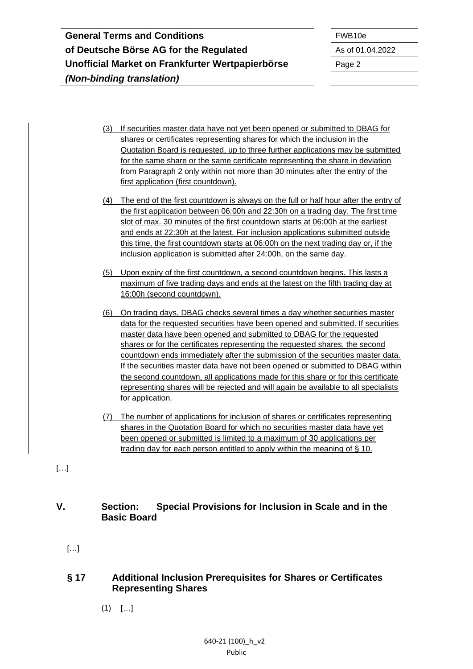- (3) If securities master data have not yet been opened or submitted to DBAG for shares or certificates representing shares for which the inclusion in the Quotation Board is requested, up to three further applications may be submitted for the same share or the same certificate representing the share in deviation from Paragraph 2 only within not more than 30 minutes after the entry of the first application (first countdown).
- (4) The end of the first countdown is always on the full or half hour after the entry of the first application between 06:00h and 22:30h on a trading day. The first time slot of max. 30 minutes of the first countdown starts at 06:00h at the earliest and ends at 22:30h at the latest. For inclusion applications submitted outside this time, the first countdown starts at 06:00h on the next trading day or, if the inclusion application is submitted after 24:00h, on the same day.
- (5) Upon expiry of the first countdown, a second countdown begins. This lasts a maximum of five trading days and ends at the latest on the fifth trading day at 16:00h (second countdown).
- (6) On trading days, DBAG checks several times a day whether securities master data for the requested securities have been opened and submitted. If securities master data have been opened and submitted to DBAG for the requested shares or for the certificates representing the requested shares, the second countdown ends immediately after the submission of the securities master data. If the securities master data have not been opened or submitted to DBAG within the second countdown, all applications made for this share or for this certificate representing shares will be rejected and will again be available to all specialists for application.
- (7) The number of applications for inclusion of shares or certificates representing shares in the Quotation Board for which no securities master data have yet been opened or submitted is limited to a maximum of 30 applications per trading day for each person entitled to apply within the meaning of § 10.
- […]

# **V. Section: Special Provisions for Inclusion in Scale and in the Basic Board**

[…]

# **§ 17 Additional Inclusion Prerequisites for Shares or Certificates Representing Shares**

 $(1)$  [...]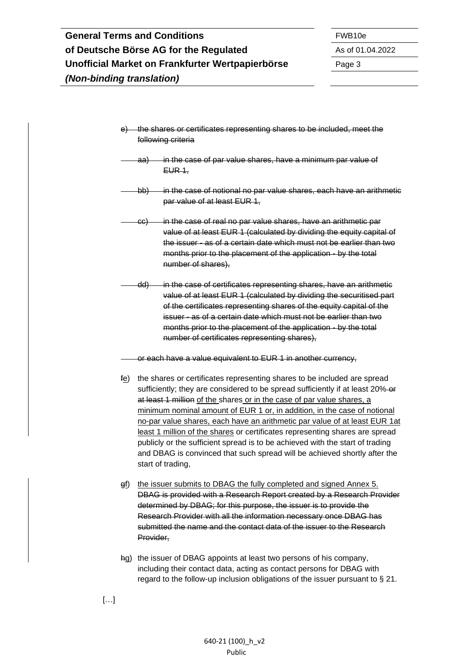- e) the shares or certificates representing shares to be included, meet the following criteria
	- aa) in the case of par value shares, have a minimum par value of  $EUR-1$ .
- bb) in the case of notional no par value shares, each have an arithmetic par value of at least EUR 1,
	- cc) in the case of real no par value shares, have an arithmetic par value of at least EUR 1 (calculated by dividing the equity capital of the issuer - as of a certain date which must not be earlier than two months prior to the placement of the application - by the total number of shares),
- dd) in the case of certificates representing shares, have an arithmetic value of at least EUR 1 (calculated by dividing the securitised part of the certificates representing shares of the equity capital of the issuer - as of a certain date which must not be earlier than two months prior to the placement of the application - by the total number of certificates representing shares),

or each have a value equivalent to EUR 1 in another currency,

- fe) the shares or certificates representing shares to be included are spread sufficiently; they are considered to be spread sufficiently if at least 20%-or at least 1 million of the shares or in the case of par value shares, a minimum nominal amount of EUR 1 or, in addition, in the case of notional no-par value shares, each have an arithmetic par value of at least EUR 1at least 1 million of the shares or certificates representing shares are spread publicly or the sufficient spread is to be achieved with the start of trading and DBAG is convinced that such spread will be achieved shortly after the start of trading,
- gf) the issuer submits to DBAG the fully completed and signed Annex 5. DBAG is provided with a Research Report created by a Research Provider determined by DBAG; for this purpose, the issuer is to provide the Research Provider with all the information necessary once DBAG has submitted the name and the contact data of the issuer to the Research Provider,
- hg) the issuer of DBAG appoints at least two persons of his company, including their contact data, acting as contact persons for DBAG with regard to the follow-up inclusion obligations of the issuer pursuant to § 21.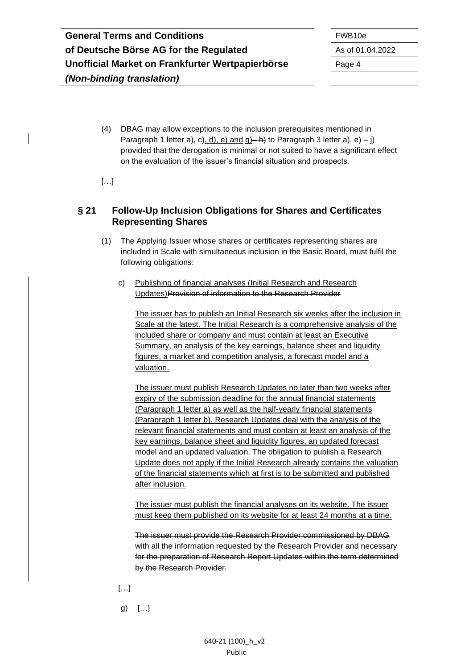- (4) DBAG may allow exceptions to the inclusion prerequisites mentioned in Paragraph 1 letter a), c), d), e) and  $g$ )—h) to Paragraph 3 letter a), e) – j) provided that the derogation is minimal or not suited to have a significant effect on the evaluation of the issuer's financial situation and prospects.
- […]

# **§ 21 Follow-Up Inclusion Obligations for Shares and Certificates Representing Shares**

- (1) The Applying Issuer whose shares or certificates representing shares are included in Scale with simultaneous inclusion in the Basic Board, must fulfil the following obligations:
	- c) Publishing of financial analyses (Initial Research and Research Updates)Provision of information to the Research Provider

The issuer has to publish an Initial Research six weeks after the inclusion in Scale at the latest. The Initial Research is a comprehensive analysis of the included share or company and must contain at least an Executive Summary, an analysis of the key earnings, balance sheet and liquidity figures, a market and competition analysis, a forecast model and a valuation.

The issuer must publish Research Updates no later than two weeks after expiry of the submission deadline for the annual financial statements (Paragraph 1 letter a) as well as the half-yearly financial statements (Paragraph 1 letter b). Research Updates deal with the analysis of the relevant financial statements and must contain at least an analysis of the key earnings, balance sheet and liquidity figures, an updated forecast model and an updated valuation. The obligation to publish a Research Update does not apply if the Initial Research already contains the valuation of the financial statements which at first is to be submitted and published after inclusion.

The issuer must publish the financial analyses on its website. The issuer must keep them published on its website for at least 24 months at a time.

The issuer must provide the Research Provider commissioned by DBAG with all the information requested by the Research Provider and necessary for the preparation of Research Report Updates within the term determined by the Research Provider.

- $\lceil$ ...]
- g) […]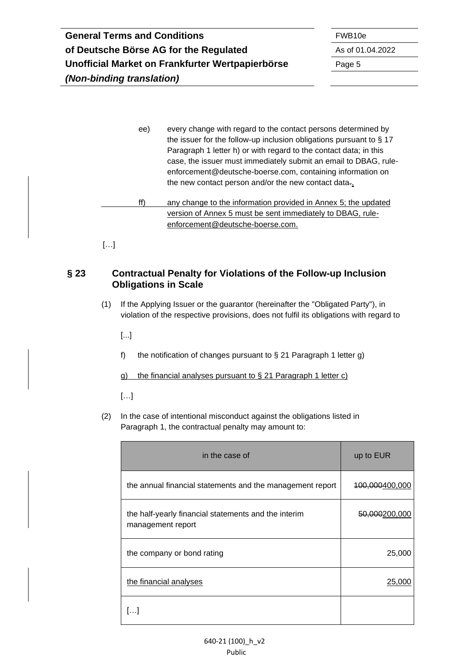| <b>General Terms and Conditions</b>              | FWB <sub>10e</sub> |
|--------------------------------------------------|--------------------|
| of Deutsche Börse AG for the Regulated           | As of 01.          |
| Unofficial Market on Frankfurter Wertpapierbörse | Page 5             |
| (Non-binding translation)                        |                    |

**of Deutsche Börse AG for the Regulated** As of 01.04.2022

- ee) every change with regard to the contact persons determined by the issuer for the follow-up inclusion obligations pursuant to § 17 Paragraph 1 letter h) or with regard to the contact data; in this case, the issuer must immediately submit an email to DBAG, ruleenforcement@deutsche-boerse.com, containing information on the new contact person and/or the new contact data.
- ff) any change to the information provided in Annex 5; the updated version of Annex 5 must be sent immediately to DBAG, ruleenforcement@deutsche-boerse.com.

[…]

### **§ 23 Contractual Penalty for Violations of the Follow-up Inclusion Obligations in Scale**

(1) If the Applying Issuer or the guarantor (hereinafter the "Obligated Party"), in violation of the respective provisions, does not fulfil its obligations with regard to

[...]

- f) the notification of changes pursuant to  $\S$  21 Paragraph 1 letter g)
- g) the financial analyses pursuant to § 21 Paragraph 1 letter c)

[…]

(2) In the case of intentional misconduct against the obligations listed in Paragraph 1, the contractual penalty may amount to:

| in the case of                                                            | up to EUR                  |
|---------------------------------------------------------------------------|----------------------------|
| the annual financial statements and the management report                 | <del>100,0004</del> 00,000 |
| the half-yearly financial statements and the interim<br>management report | 50,000200,000              |
| the company or bond rating                                                | 25,000                     |
| the financial analyses                                                    | 25,000                     |
| ا…ا                                                                       |                            |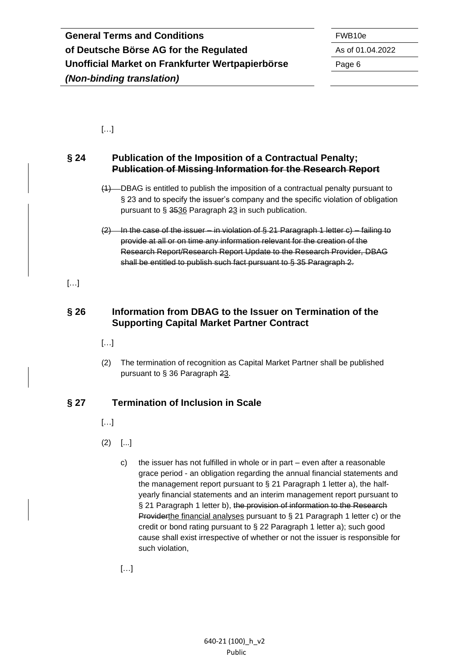$[\ldots]$ 

## **§ 24 Publication of the Imposition of a Contractual Penalty; Publication of Missing Information for the Research Report**

- (1) DBAG is entitled to publish the imposition of a contractual penalty pursuant to § 23 and to specify the issuer's company and the specific violation of obligation pursuant to § 3536 Paragraph 23 in such publication.
- (2) In the case of the issuer in violation of § 21 Paragraph 1 letter c) failing to provide at all or on time any information relevant for the creation of the Research Report/Research Report Update to the Research Provider, DBAG shall be entitled to publish such fact pursuant to § 35 Paragraph 2.

[…]

# **§ 26 Information from DBAG to the Issuer on Termination of the Supporting Capital Market Partner Contract**

- […]
- (2) The termination of recognition as Capital Market Partner shall be published pursuant to § 36 Paragraph 23.

# **§ 27 Termination of Inclusion in Scale**

- $\left[\ldots\right]$
- $(2)$  [...]
	- c) the issuer has not fulfilled in whole or in part even after a reasonable grace period - an obligation regarding the annual financial statements and the management report pursuant to § 21 Paragraph 1 letter a), the halfyearly financial statements and an interim management report pursuant to § 21 Paragraph 1 letter b), the provision of information to the Research Providerthe financial analyses pursuant to § 21 Paragraph 1 letter c) or the credit or bond rating pursuant to § 22 Paragraph 1 letter a); such good cause shall exist irrespective of whether or not the issuer is responsible for such violation,

[…]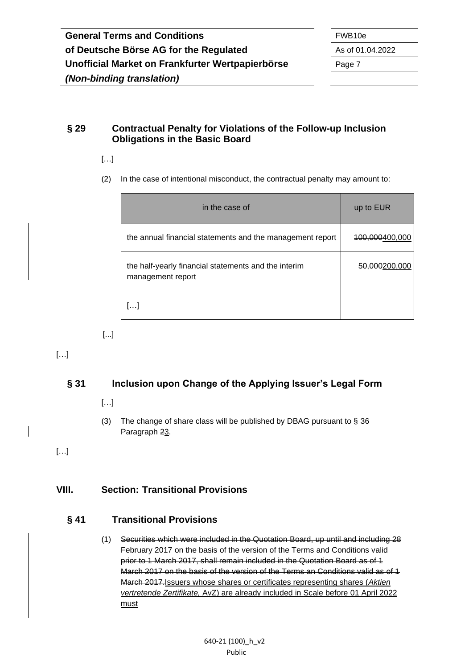## **§ 29 Contractual Penalty for Violations of the Follow-up Inclusion Obligations in the Basic Board**

- […]
- (2) In the case of intentional misconduct, the contractual penalty may amount to:

| in the case of                                                            | up to EUR      |
|---------------------------------------------------------------------------|----------------|
| the annual financial statements and the management report                 | 400.000400,000 |
| the half-yearly financial statements and the interim<br>management report | 50,000200,000  |
|                                                                           |                |

[...]

[…]

# **§ 31 Inclusion upon Change of the Applying Issuer's Legal Form**

[…]

(3) The change of share class will be published by DBAG pursuant to § 36 Paragraph 23.

[…]

# **VIII. Section: Transitional Provisions**

# **§ 41 Transitional Provisions**

(1) Securities which were included in the Quotation Board, up until and including 28 February 2017 on the basis of the version of the Terms and Conditions valid prior to 1 March 2017, shall remain included in the Quotation Board as of 1 March 2017 on the basis of the version of the Terms an Conditions valid as of 1 March 2017.Issuers whose shares or certificates representing shares (*Aktien vertretende Zertifikate,* AvZ) are already included in Scale before 01 April 2022 must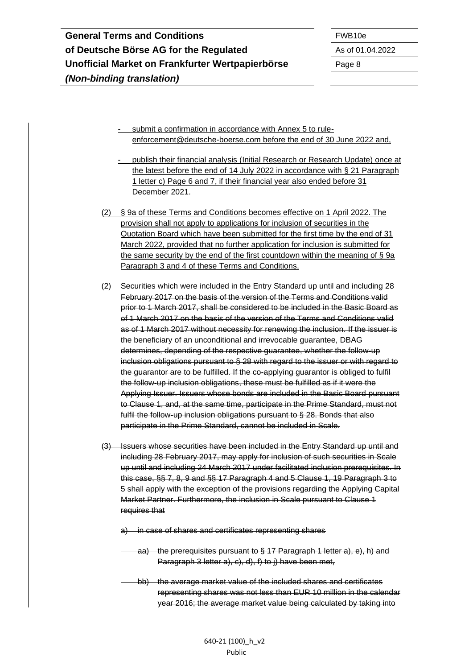| <b>General Terms and Conditions</b>              | FWB <sub>10e</sub> |
|--------------------------------------------------|--------------------|
| of Deutsche Börse AG for the Regulated           | As of 01.          |
| Unofficial Market on Frankfurter Wertpapierbörse | Page 8             |
| (Non-binding translation)                        |                    |

**of Deutsche Börse AG for the Regulated** As of 01.04.2022

- submit a confirmation in accordance with Annex 5 to ruleenforcement@deutsche-boerse.com before the end of 30 June 2022 and,
- publish their financial analysis (Initial Research or Research Update) once at the latest before the end of 14 July 2022 in accordance with § 21 Paragraph 1 letter c) Page 6 and 7, if their financial year also ended before 31 December 2021.
- (2) § 9a of these Terms and Conditions becomes effective on 1 April 2022. The provision shall not apply to applications for inclusion of securities in the Quotation Board which have been submitted for the first time by the end of 31 March 2022, provided that no further application for inclusion is submitted for the same security by the end of the first countdown within the meaning of § 9a Paragraph 3 and 4 of these Terms and Conditions.
- (2) Securities which were included in the Entry Standard up until and including 28 February 2017 on the basis of the version of the Terms and Conditions valid prior to 1 March 2017, shall be considered to be included in the Basic Board as of 1 March 2017 on the basis of the version of the Terms and Conditions valid as of 1 March 2017 without necessity for renewing the inclusion. If the issuer is the beneficiary of an unconditional and irrevocable guarantee, DBAG determines, depending of the respective guarantee, whether the follow-up inclusion obligations pursuant to § 28 with regard to the issuer or with regard to the guarantor are to be fulfilled. If the co-applying guarantor is obliged to fulfil the follow-up inclusion obligations, these must be fulfilled as if it were the Applying Issuer. Issuers whose bonds are included in the Basic Board pursuant to Clause 1, and, at the same time, participate in the Prime Standard, must not fulfil the follow-up inclusion obligations pursuant to § 28. Bonds that also participate in the Prime Standard, cannot be included in Scale.
- (3) Issuers whose securities have been included in the Entry Standard up until and including 28 February 2017, may apply for inclusion of such securities in Scale up until and including 24 March 2017 under facilitated inclusion prerequisites. In this case, §§ 7, 8, 9 and §§ 17 Paragraph 4 and 5 Clause 1, 19 Paragraph 3 to 5 shall apply with the exception of the provisions regarding the Applying Capital Market Partner. Furthermore, the inclusion in Scale pursuant to Clause 1 requires that
	- a) in case of shares and certificates representing shares
		- aa) the prerequisites pursuant to § 17 Paragraph 1 letter a), e), h) and Paragraph 3 letter a), c), d), f) to j) have been met,
		- bb) the average market value of the included shares and certificates representing shares was not less than EUR 10 million in the calendar year 2016; the average market value being calculated by taking into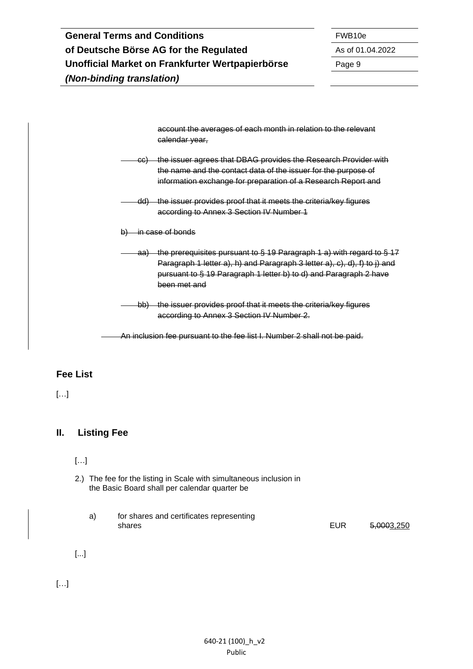| <b>General Terms and Conditions</b>              | FWB <sub>10e</sub> |
|--------------------------------------------------|--------------------|
| of Deutsche Börse AG for the Regulated           | As of 01.          |
| Unofficial Market on Frankfurter Wertpapierbörse | Page 9             |
| (Non-binding translation)                        |                    |

**of Deutsche Börse AG for the Regulated** As of 01.04.2022

account the averages of each month in relation to the relevant calendar year,

- cc) the issuer agrees that DBAG provides the Research Provider with the name and the contact data of the issuer for the purpose of information exchange for preparation of a Research Report and
- dd) the issuer provides proof that it meets the criteria/key figures according to Annex 3 Section IV Number 1
- b) in case of bonds
- aa) the prerequisites pursuant to § 19 Paragraph 1 a) with regard to § 17 Paragraph 1 letter a), h) and Paragraph 3 letter a), c), d), f) to j) and pursuant to § 19 Paragraph 1 letter b) to d) and Paragraph 2 have been met and
- bb) the issuer provides proof that it meets the criteria/key figures according to Annex 3 Section IV Number 2.
- An inclusion fee pursuant to the fee list I. Number 2 shall not be paid.

#### **Fee List**

[…]

# **II. Listing Fee**

[…]

- 2.) The fee for the listing in Scale with simultaneous inclusion in the Basic Board shall per calendar quarter be
	- a) for shares and certificates representing shares **EUR** 5,0003,250

[...]

[…]